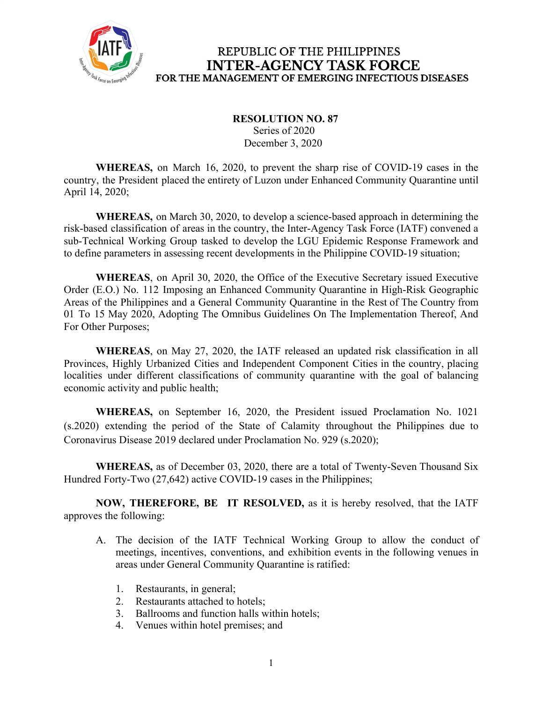

## REPUBLIC OF THE PHILIPPINES **INTER-AGENCY TASK FORCE** FOR THE MANAGEMENT OF EMERGING INFECTIOUS DISEASES

## **RESOLUTION NO. 87**

 Series of 2020 December 3, 2020

**WHEREAS,** on March 16, 2020, to prevent the sharp rise of COVID-19 cases in the country, the President placed the entirety of Luzon under Enhanced Community Quarantine until April 14, 2020;

**WHEREAS,** on March 30, 2020, to develop a science-based approach in determining the risk-based classification of areas in the country, the Inter-Agency Task Force (IATF) convened a sub-Technical Working Group tasked to develop the LGU Epidemic Response Framework and to define parameters in assessing recent developments in the Philippine COVID-19 situation;

**WHEREAS**, on April 30, 2020, the Office of the Executive Secretary issued Executive Order (E.O.) No. 112 Imposing an Enhanced Community Quarantine in High-Risk Geographic Areas of the Philippines and a General Community Quarantine in the Rest of The Country from 01 To 15 May 2020, Adopting The Omnibus Guidelines On The Implementation Thereof, And For Other Purposes;

**WHEREAS**, on May 27, 2020, the IATF released an updated risk classification in all Provinces, Highly Urbanized Cities and Independent Component Cities in the country, placing localities under different classifications of community quarantine with the goal of balancing economic activity and public health;

**WHEREAS,** on September 16, 2020, the President issued Proclamation No. 1021 (s.2020) extending the period of the State of Calamity throughout the Philippines due to Coronavirus Disease 2019 declared under Proclamation No. 929 (s.2020);

**WHEREAS,** as of December 03, 2020, there are a total of Twenty-Seven Thousand Six Hundred Forty-Two (27,642) active COVID-19 cases in the Philippines;

**NOW, THEREFORE, BE IT RESOLVED,** as it is hereby resolved, that the IATF approves the following:

- A. The decision of the IATF Technical Working Group to allow the conduct of meetings, incentives, conventions, and exhibition events in the following venues in areas under General Community Quarantine is ratified:
	- 1. Restaurants, in general;
	- 2. Restaurants attached to hotels;
	- 3. Ballrooms and function halls within hotels;
	- 4. Venues within hotel premises; and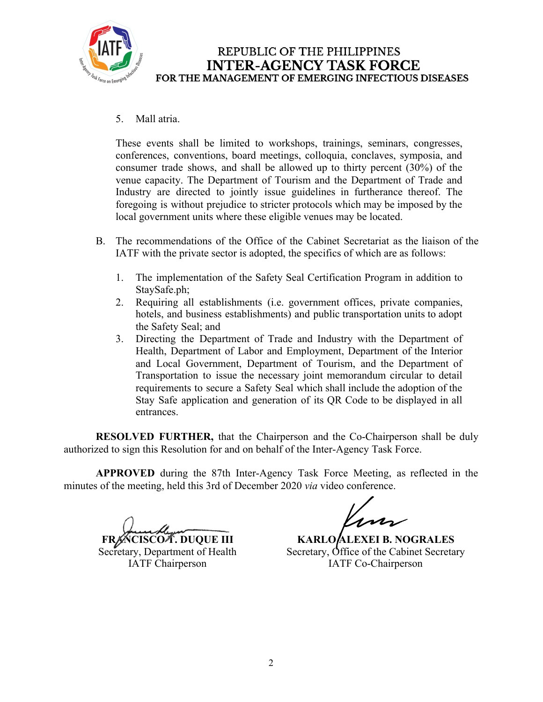

## REPUBLIC OF THE PHILIPPINES **INTER-AGENCY TASK FORCE** FOR THE MANAGEMENT OF EMERGING INFECTIOUS DISEASES

5. Mall atria.

These events shall be limited to workshops, trainings, seminars, congresses, conferences, conventions, board meetings, colloquia, conclaves, symposia, and consumer trade shows, and shall be allowed up to thirty percent (30%) of the venue capacity. The Department of Tourism and the Department of Trade and Industry are directed to jointly issue guidelines in furtherance thereof. The foregoing is without prejudice to stricter protocols which may be imposed by the local government units where these eligible venues may be located.

- B. The recommendations of the Office of the Cabinet Secretariat as the liaison of the IATF with the private sector is adopted, the specifics of which are as follows:
	- 1. The implementation of the Safety Seal Certification Program in addition to StaySafe.ph;
	- 2. Requiring all establishments (i.e. government offices, private companies, hotels, and business establishments) and public transportation units to adopt the Safety Seal; and
	- 3. Directing the Department of Trade and Industry with the Department of Health, Department of Labor and Employment, Department of the Interior and Local Government, Department of Tourism, and the Department of Transportation to issue the necessary joint memorandum circular to detail requirements to secure a Safety Seal which shall include the adoption of the Stay Safe application and generation of its QR Code to be displayed in all entrances.

**RESOLVED FURTHER,** that the Chairperson and the Co-Chairperson shall be duly authorized to sign this Resolution for and on behalf of the Inter-Agency Task Force.

**APPROVED** during the 87th Inter-Agency Task Force Meeting, as reflected in the minutes of the meeting, held this 3rd of December 2020 *via* video conference.

FRACISCO T. DUQUE III

Secretary, Department of Health IATF Chairperson

**KARLO ALEXEI B. NOGRALES** Secretary, Office of the Cabinet Secretary IATF Co-Chairperson